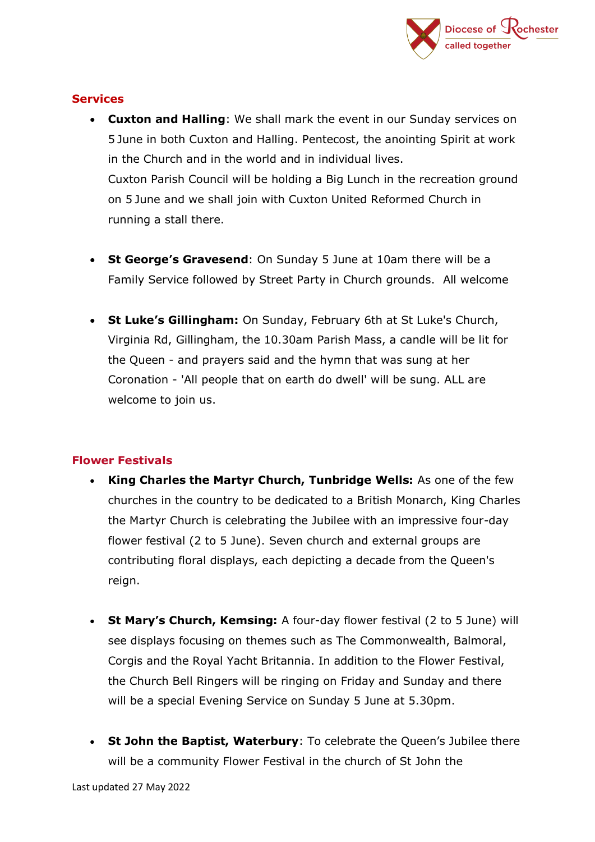

#### **Services**

- **Cuxton and Halling**: We shall mark the event in our Sunday services on 5 June in both Cuxton and Halling. Pentecost, the anointing Spirit at work in the Church and in the world and in individual lives. Cuxton Parish Council will be holding a Big Lunch in the recreation ground on 5 June and we shall join with Cuxton United Reformed Church in running a stall there.
- **St George's Gravesend**: On Sunday 5 June at 10am there will be a Family Service followed by Street Party in Church grounds. All welcome
- **St Luke's Gillingham:** On Sunday, February 6th at St Luke's Church, Virginia Rd, Gillingham, the 10.30am Parish Mass, a candle will be lit for the Queen - and prayers said and the hymn that was sung at her Coronation - 'All people that on earth do dwell' will be sung. ALL are welcome to join us.

### **Flower Festivals**

- **King Charles the Martyr Church, Tunbridge Wells:** As one of the few churches in the country to be dedicated to a British Monarch, King Charles the Martyr Church is celebrating the Jubilee with an impressive four-day flower festival (2 to 5 June). Seven church and external groups are contributing floral displays, each depicting a decade from the Queen's reign.
- **St Mary's Church, Kemsing:** A four-day flower festival (2 to 5 June) will see displays focusing on themes such as The Commonwealth, Balmoral, Corgis and the Royal Yacht Britannia. In addition to the Flower Festival, the Church Bell Ringers will be ringing on Friday and Sunday and there will be a special Evening Service on Sunday 5 June at 5.30pm.
- **St John the Baptist, Waterbury**: To celebrate the Queen's Jubilee there will be a community Flower Festival in the church of St John the